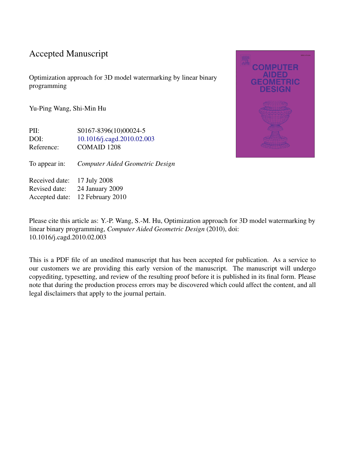## Accepted Manuscript

Optimization approach for 3D model watermarking by linear binary programming

Yu-Ping Wang, Shi-Min Hu

PII:  $S0167-8396(10)00024-5$ DOI: [10.1016/j.cagd.2010.02.003](http://dx.doi.org/10.1016/j.cagd.2010.02.003) Reference: COMAID 1208

To appear in: *Computer Aided Geometric Design*

Received date: 17 July 2008 Revised date: 24 January 2009 Accepted date: 12 February 2010

Please cite this article as: Y.-P. Wang, S.-M. Hu, Optimization approach for 3D model watermarking by linear binary programming, *Computer Aided Geometric Design* (2010), doi: 10.1016/j.cagd.2010.02.003

This is a PDF file of an unedited manuscript that has been accepted for publication. As a service to our customers we are providing this early version of the manuscript. The manuscript will undergo copyediting, typesetting, and review of the resulting proof before it is published in its final form. Please note that during the production process errors may be discovered which could affect the content, and all legal disclaimers that apply to the journal pertain.

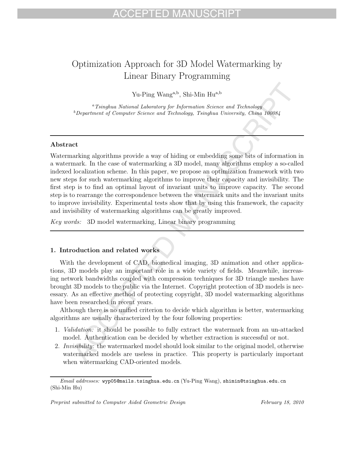# Optimization Approach for 3D Model Watermarking by Linear Binary Programming

Yu-Ping Wang<sup>a,b</sup>, Shi-Min Hu<sup>a,b</sup>

<sup>a</sup>Tsinghua National Laboratory for Information Science and Technology  $b$ Department of Computer Science and Technology, Tsinghua University, China 100084

### **Abstract**

 $\label{eq:21}$  Yu-Ping Wang<sup>a,b</sup>, Shi-Min Hu<sup>k,b</sup><br> $^\circ$ Tsioghua Naional Laboratory for Lafornation Science and Technology<br> $^\circ$ <br>Department of Computer Science and Technology, Tsinghan University, China 100084<br> $^\circ$ <br>Department of Watermarking algorithms provide a way of hiding or embedding some bits of information in a watermark. In the case of watermarking a 3D model, many algorithms employ a so-called indexed localization scheme. In this paper, we propose an optimization framework with two new steps for such watermarking algorithms to improve their capacity and invisibility. The first step is to find an optimal layout of invariant units to improve capacity. The second step is to rearrange the correspondence between the watermark units and the invariant units to improve invisibility. Experimental tests show that by using this framework, the capacity and invisibility of watermarking algorithms can be greatly improved.

Key words: 3D model watermarking, Linear binary programming

### **1. Introduction and related works**

With the development of CAD, biomedical imaging, 3D animation and other applications, 3D models play an important role in a wide variety of fields. Meanwhile, increasing network bandwidths coupled with compression techniques for 3D triangle meshes have brought 3D models to the public via the Internet. Copyright protection of 3D models is necessary. As an effective method of protecting copyright, 3D model watermarking algorithms have been researched in recent years.

Although there is no unified criterion to decide which algorithm is better, watermarking algorithms are usually characterized by the four following properties:

- 1. Validation: it should be possible to fully extract the watermark from an un-attacked model. Authentication can be decided by whether extraction is successful or not.
- 2. Invisibility: the watermarked model should look similar to the original model, otherwise watermarked models are useless in practice. This property is particularly important when watermarking CAD-oriented models.

Email addresses: wyp05@mails.tsinghua.edu.cn (Yu-Ping Wang), shimin@tsinghua.edu.cn (Shi-Min Hu)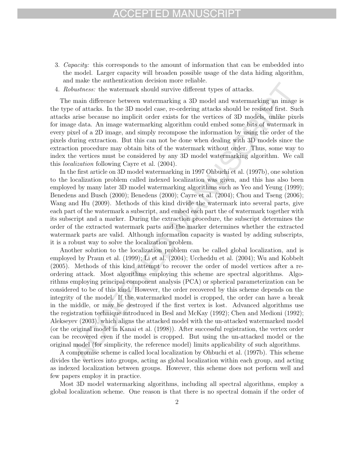- 3. Capacity: this corresponds to the amount of information that can be embedded into the model. Larger capacity will broaden possible usage of the data hiding algorithm, and make the authentication decision more reliable.
- 4. Robustness: the watermark should survive different types of attacks.

The main difference between watermarking a 3D model and watermarking an image is the type of attacks. In the 3D model case, re-ordering attacks should be resisted first. Such attacks arise because no implicit order exists for the vertices of 3D models, unlike pixels for image data. An image watermarking algorithm could embed some bits of watermark in every pixel of a 2D image, and simply recompose the information by using the order of the pixels during extraction. But this can not be done when dealing with 3D models since the extraction procedure may obtain bits of the watermark without order. Thus, some way to index the vertices must be considered by any 3D model watermarking algorithm. We call this localization following Cayre et al. (2004).

In the first article on 3D model watermarking in 1997 Ohbuchi et al. (1997b), one solution to the localization problem called indexed localization was given, and this has also been employed by many later 3D model watermarking algorithms such as Yeo and Yeung (1999); Benedens and Busch (2000); Benedens (2000); Cayre et al. (2004); Chou and Tseng (2006); Wang and Hu (2009). Methods of this kind divide the watermark into several parts, give each part of the watermark a subscript, and embed each part the of watermark together with its subscript and a marker. During the extraction procedure, the subscript determines the order of the extracted watermark parts and the marker determines whether the extracted watermark parts are valid. Although information capacity is wasted by adding subscripts, it is a robust way to solve the localization problem.

bustness: the watermark should survive different types of attacks.<br>
main difference between watermarking a 3D model and watermarking an image of attacks. In the 3D model case, re-ordering attacks is bould be resisted firs Another solution to the localization problem can be called global localization, and is employed by Praun et al. (1999); Li et al. (2004); Uccheddu et al. (2004); Wu and Kobbelt (2005). Methods of this kind attempt to recover the order of model vertices after a reordering attack. Most algorithms employing this scheme are spectral algorithms. Algorithms employing principal component analysis (PCA) or spherical parameterization can be considered to be of this kind. However, the order recovered by this scheme depends on the integrity of the model. If the watermarked model is cropped, the order can have a break in the middle, or may be destroyed if the first vertex is lost. Advanced algorithms use the registration technique introduced in Besl and McKay (1992); Chen and Medioni (1992); Alekseyev (2003), which aligns the attacked model with the un-attacked watermarked model (or the original model in Kanai et al. (1998)). After successful registration, the vertex order can be recovered even if the model is cropped. But using the un-attacked model or the original model (for simplicity, the reference model) limits applicability of such algorithms.

A compromise scheme is called local localization by Ohbuchi et al. (1997b). This scheme divides the vertices into groups, acting as global localization within each group, and acting as indexed localization between groups. However, this scheme does not perform well and few papers employ it in practice.

Most 3D model watermarking algorithms, including all spectral algorithms, employ a global localization scheme. One reason is that there is no spectral domain if the order of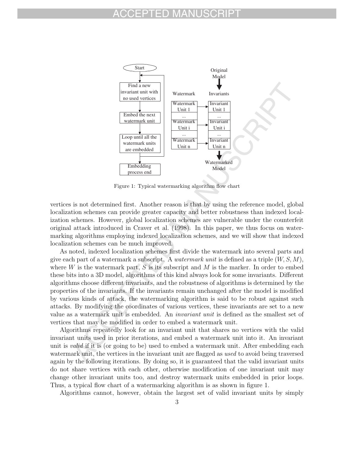## ED MAI



Figure 1: Typical watermarking algorithm flow chart

vertices is not determined first. Another reason is that by using the reference model, global localization schemes can provide greater capacity and better robustness than indexed localization schemes. However, global localization schemes are vulnerable under the counterfeit original attack introduced in Craver et al. (1998). In this paper, we thus focus on watermarking algorithms employing indexed localization schemes, and we will show that indexed localization schemes can be much improved.

As noted, indexed localization schemes first divide the watermark into several parts and give each part of a watermark a subscript. A *watermark unit* is defined as a triple  $(W, S, M)$ , where  $W$  is the watermark part,  $S$  is its subscript and  $M$  is the marker. In order to embed these bits into a 3D model, algorithms of this kind always look for some invariants. Different algorithms choose different invariants, and the robustness of algorithms is determined by the properties of the invariants. If the invariants remain unchanged after the model is modified by various kinds of attack, the watermarking algorithm is said to be robust against such attacks. By modifying the coordinates of various vertices, these invariants are set to a new value as a watermark unit is embedded. An invariant unit is defined as the smallest set of vertices that may be modified in order to embed a watermark unit.

Algorithms repeatedly look for an invariant unit that shares no vertices with the valid invariant units used in prior iterations, and embed a watermark unit into it. An invariant unit is *valid* if it is (or going to be) used to embed a watermark unit. After embedding each watermark unit, the vertices in the invariant unit are flagged as used to avoid being traversed again by the following iterations. By doing so, it is guaranteed that the valid invariant units do not share vertices with each other, otherwise modification of one invariant unit may change other invariant units too, and destroy watermark units embedded in prior loops. Thus, a typical flow chart of a watermarking algorithm is as shown in figure 1.

Algorithms cannot, however, obtain the largest set of valid invariant units by simply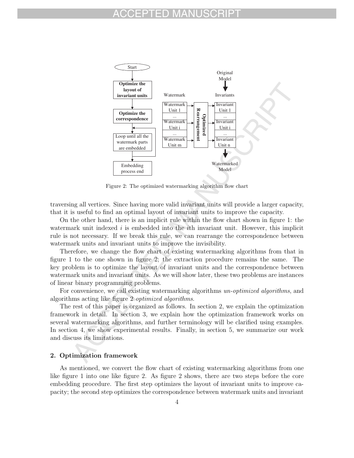### FD MAN



Figure 2: The optimized watermarking algorithm flow chart

traversing all vertices. Since having more valid invariant units will provide a larger capacity, that it is useful to find an optimal layout of invariant units to improve the capacity.

On the other hand, there is an implicit rule within the flow chart shown in figure 1: the watermark unit indexed  $i$  is embedded into the  $i$ th invariant unit. However, this implicit rule is not necessary. If we break this rule, we can rearrange the correspondence between watermark units and invariant units to improve the invisibility.

Therefore, we change the flow chart of existing watermarking algorithms from that in figure 1 to the one shown in figure 2; the extraction procedure remains the same. The key problem is to optimize the layout of invariant units and the correspondence between watermark units and invariant units. As we will show later, these two problems are instances of linear binary programming problems.

For convenience, we call existing watermarking algorithms un-optimized algorithms, and algorithms acting like figure 2 optimized algorithms.

The rest of this paper is organized as follows. In section 2, we explain the optimization framework in detail. In section 3, we explain how the optimization framework works on several watermarking algorithms, and further terminology will be clarified using examples. In section 4, we show experimental results. Finally, in section 5, we summarize our work and discuss its limitations.

### **2. Optimization framework**

As mentioned, we convert the flow chart of existing watermarking algorithms from one like figure 1 into one like figure 2. As figure 2 shows, there are two steps before the core embedding procedure. The first step optimizes the layout of invariant units to improve capacity; the second step optimizes the correspondence between watermark units and invariant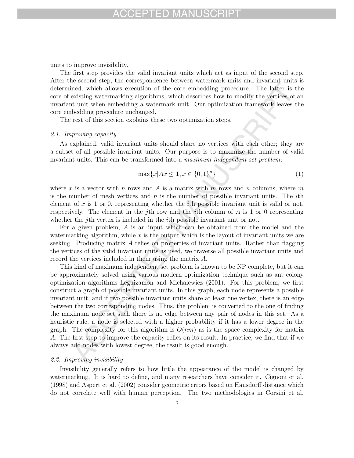units to improve invisibility.

The first step provides the valid invariant units which act as input of the second step. After the second step, the correspondence between watermark units and invariant units is determined, which allows execution of the core embedding procedure. The latter is the core of existing watermarking algorithms, which describes how to modify the vertices of an invariant unit when embedding a watermark unit. Our optimization framework leaves the core embedding procedure unchanged.

The rest of this section explains these two optimization steps.

### 2.1. Improving capacity

As explained, valid invariant units should share no vertices with each other; they are a subset of all possible invariant units. Our purpose is to maximize the number of valid invariant units. This can be transformed into a maximum independent set problem:

$$
\max\{x | Ax \le 1, x \in \{0, 1\}^n\} \tag{1}
$$

where x is a vector with n rows and A is a matrix with m rows and n columns, where m is the number of mesh vertices and  $n$  is the number of possible invariant units. The *i*th element of x is 1 or 0, representing whether the *i*th possible invariant unit is valid or not, respectively. The element in the jth row and the ith column of  $A$  is 1 or 0 representing whether the *j*th vertex is included in the *i*th possible invariant unit or not.

For a given problem, A is an input which can be obtained from the model and the watermarking algorithm, while  $x$  is the output which is the layout of invariant units we are seeking. Producing matrix  $A$  relies on properties of invariant units. Rather than flagging the vertices of the valid invariant units as used, we traverse all possible invariant units and record the vertices included in them using the matrix A.

exacuta the proposition of the core can<br>be direct avoid and with allows execution of the core embedding procedure. The latter is<br>existing waternarking algorithms, which doesn'ts bond to modify the vertices, of<br>the simulat This kind of maximum independent set problem is known to be NP complete, but it can be approximately solved using various modern optimization technique such as ant colony optimization algorithms Leguizamon and Michalewicz (2001). For this problem, we first construct a graph of possible invariant units. In this graph, each node represents a possible invariant unit, and if two possible invariant units share at least one vertex, there is an edge between the two corresponding nodes. Thus, the problem is converted to the one of finding the maximum node set such there is no edge between any pair of nodes in this set. As a heuristic rule, a node is selected with a higher probability if it has a lower degree in the graph. The complexity for this algorithm is  $O(nm)$  as is the space complexity for matrix A. The first step to improve the capacity relies on its result. In practice, we find that if we always add nodes with lowest degree, the result is good enough.

#### 2.2. Improving invisibility

Invisibility generally refers to how little the appearance of the model is changed by watermarking. It is hard to define, and many researchers have consider it. Cignoni et al. (1998) and Aspert et al. (2002) consider geometric errors based on Hausdorff distance which do not correlate well with human perception. The two methodologies in Corsini et al.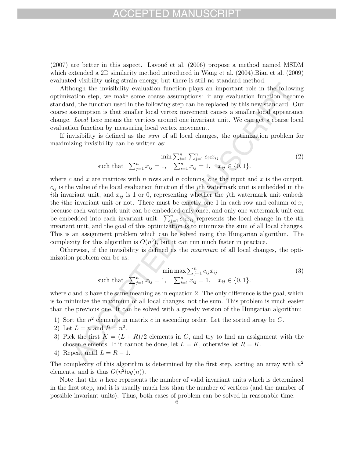### FD MAI

 $(2007)$  are better in this aspect. Lavoue et al.  $(2006)$  propose a method named MSDM which extended a 2D similarity method introduced in Wang et al. (2004).Bian et al. (2009) evaluated visibility using strain energy, but there is still no standard method.

Although the invisibility evaluation function plays an important role in the following optimization step, we make some coarse assumptions: if any evaluation function become standard, the function used in the following step can be replaced by this new standard. Our coarse assumption is that smaller local vertex movement causes a smaller local appearance change. Local here means the vertices around one invariant unit. We can get a coarse local evaluation function by measuring local vertex movement.

If invisibility is defined as the sum of all local changes, the optimization problem for maximizing invisibility can be written as:

$$
\min \sum_{i=1}^{n} \sum_{j=1}^{n} c_{ij} x_{ij}
$$
\nsuch that

\n
$$
\sum_{j=1}^{n} x_{ij} = 1, \quad \sum_{i=1}^{n} x_{ij} = 1, \quad x_{ij} \in \{0, 1\}.
$$
\n(2)

or example mass shown whose stamples in the follow<br>and month in the invisibility evaluation function plays an important role in the follow<br>attom step, we make some coarse assumptions: if any vealuation function because<br>of where c and x are matrices with n rows and n columns, c is the input and x is the output,  $c_{ij}$  is the value of the local evaluation function if the jth watermark unit is embedded in the ith invariant unit, and  $x_{ij}$  is 1 or 0, representing whether the jth watermark unit embeds the *i*the invariant unit or not. There must be exactly one 1 in each row and column of  $x$ , because each watermark unit can be embedded only once, and only one watermark unit can be embedded into each invariant unit.  $\sum_{j=1}^{n} c_{ij} x_{ij}$  represents the local change in the *i*th invariant unit, and the goal of this optimization is to minimize the sum of all local changes. invariant unit, and the goal of this optimization is to minimize the sum of all local changes. This is an assignment problem which can be solved using the Hungarian algorithm. The complexity for this algorithm is  $O(n^3)$ , but it can run much faster in practice.

Otherwise, if the invisibility is defined as the maximum of all local changes, the optimization problem can be as:

$$
\min \max \sum_{j=1}^{n} c_{ij} x_{ij}
$$
\nsuch that

\n
$$
\sum_{j=1}^{n} x_{ij} = 1, \quad \sum_{i=1}^{n} x_{ij} = 1, \quad x_{ij} \in \{0, 1\}.
$$
\n(3)

where c and x have the same meaning as in equation 2. The only difference is the goal, which is to minimize the maximum of all local changes, not the sum. This problem is much easier than the previous one. It can be solved with a greedy version of the Hungarian algorithm:

- 1) Sort the  $n^2$  elements in matrix c in ascending order. Let the sorted array be C.
- 2) Let  $L = n$  and  $R = n^2$ .
- 3) Pick the first  $K = (L + R)/2$  elements in C, and try to find an assignment with the chosen elements. If it cannot be done, let  $L = K$ , otherwise let  $R = K$ .
- 4) Repeat until  $L = R 1$ .

The complexity of this algorithm is determined by the first step, sorting an array with  $n^2$ elements, and is thus  $O(n^2 \log(n))$ .

Note that the *n* here represents the number of valid invariant units which is determined in the first step, and it is usually much less than the number of vertices (and the number of possible invariant units). Thus, both cases of problem can be solved in reasonable time.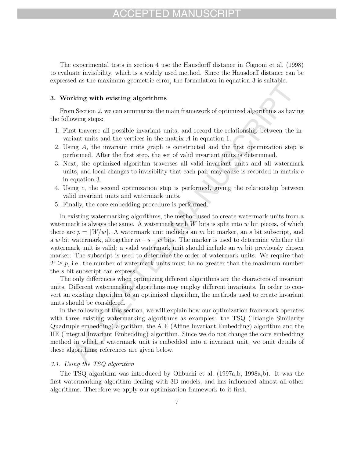## CEPTED MAN

The experimental tests in section 4 use the Hausdorff distance in Cignoni et al. (1998) to evaluate invisibility, which is a widely used method. Since the Hausdorff distance can be expressed as the maximum geometric error, the formulation in equation 3 is suitable.

### **3. Working with existing algorithms**

From Section 2, we can summarize the main framework of optimized algorithms as having the following steps:

- 1. First traverse all possible invariant units, and record the relationship between the invariant units and the vertices in the matrix A in equation 1.
- 2. Using A, the invariant units graph is constructed and the first optimization step is performed. After the first step, the set of valid invariant units is determined.
- 3. Next, the optimized algorithm traverses all valid invariant units and all watermark units, and local changes to invisibility that each pair may cause is recorded in matrix  $c$ in equation 3.
- 4. Using c, the second optimization step is performed, giving the relationship between valid invariant units and watermark units.
- 5. Finally, the core embedding procedure is performed.

Accelerate the main manufactural points of the main of the main of the main of the main of the main symmatric terms as have only seen summarize the main framework of optimized algorithms as have only some stars all possib In existing watermarking algorithms, the method used to create watermark units from a watermark is always the same. A watermark with  $W$  bits is split into  $w$  bit pieces, of which there are  $p = \lceil W/w \rceil$ . A watermark unit includes an m bit marker, an s bit subscript, and a w bit watermark, altogether  $m + s + w$  bits. The marker is used to determine whether the watermark unit is valid: a valid watermark unit should include an  $m$  bit previously chosen marker. The subscript is used to determine the order of watermark units. We require that  $2^{s} \geq p$ , i.e. the number of watermark units must be no greater than the maximum number the s bit subscript can express.

The only differences when optimizing different algorithms are the characters of invariant units. Different watermarking algorithms may employ different invariants. In order to convert an existing algorithm to an optimized algorithm, the methods used to create invariant units should be considered.

In the following of this section, we will explain how our optimization framework operates with three existing watermarking algorithms as examples: the TSQ (Triangle Similarity Quadruple embedding) algorithm, the AIE (Affine Invariant Embedding) algorithm and the IIE (Integral Invariant Embedding) algorithm. Since we do not change the core embedding method in which a watermark unit is embedded into a invariant unit, we omit details of these algorithms; references are given below.

### 3.1. Using the TSQ algorithm

The TSQ algorithm was introduced by Ohbuchi et al. (1997a,b, 1998a,b). It was the first watermarking algorithm dealing with 3D models, and has influenced almost all other algorithms. Therefore we apply our optimization framework to it first.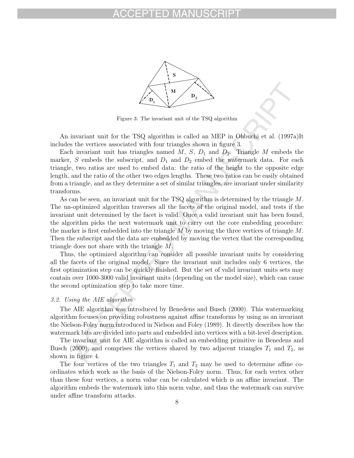

Figure 3: The invariant unit of the TSQ algorithm

An invariant unit for the TSQ algorithm is called an MEP in Ohbuchi et al. (1997a)It includes the vertices associated with four triangles shown in figure 3.

Each invariant unit has triangles named  $M$ ,  $S$ ,  $D_1$  and  $D_2$ . Triangle  $M$  embeds the marker, S embeds the subscript, and  $D_1$  and  $D_2$  embed the watermark data. For each triangle, two ratios are used to embed data: the ratio of the height to the opposite edge length, and the ratio of the other two edges lengths. These two ratios can be easily obtained from a triangle, and as they determine a set of similar triangles, are invariant under similarity transforms.

**Example 2.1 M D**<sub>2</sub><br> **Example 2.** The invariant unit of the TSQ algorithm<br>
invariant unit for the TSQ algorithm is called an MEP in Obbudit et al. (1997<br>
in invariant unit lies triangles named M, S, D<sub>p</sub> and D<sub>p</sub>. Th As can be seen, an invariant unit for the TSQ algorithm is determined by the triangle M. The un-optimized algorithm traverses all the facets of the original model, and tests if the invariant unit determined by the facet is valid. Once a valid invariant unit has been found, the algorithm picks the next watermark unit to carry out the core embedding procedure: the marker is first embedded into the triangle  $M$  by moving the three vertices of triangle  $M$ . Then the subscript and the data are embedded by moving the vertex that the corresponding triangle does not share with the triangle M.

Thus, the optimized algorithm can consider all possible invariant units by considering all the facets of the original model. Since the invariant unit includes only 6 vertices, the first optimization step can be quickly finished. But the set of valid invariant units sets may contain over 1000-3000 valid invariant units (depending on the model size), which can cause the second optimization step to take more time.

### 3.2. Using the AIE algorithm

The AIE algorithm was introduced by Benedens and Busch (2000). This watermarking algorithm focuses on providing robustness against affine transforms by using as an invariant the Nielson-Foley norm introduced in Nielson and Foley (1989). It directly describes how the watermark bits are divided into parts and embedded into vertices with a bit-level description.

The invariant unit for AIE algorithm is called an embedding primitive in Benedens and Busch (2000), and comprises the vertices shared by two adjacent triangles  $T_1$  and  $T_2$ , as shown in figure 4.

The four vertices of the two triangles  $T_1$  and  $T_2$  may be used to determine affine coordinates which work as the basis of the Nielson-Foley norm. Thus, for each vertex other than these four vertices, a norm value can be calculated which is an affine invariant. The algorithm embeds the watermark into this norm value, and thus the watermark can survive under affine transform attacks.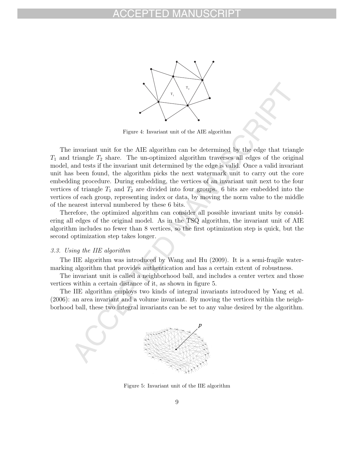

Figure 4: Invariant unit of the AIE algorithm

Factor 4: Invariant unit of the AIE algorithm can be determined by the edge that triangle  $T_2$  share. The un-optimized algorithm traverses all edges of the original tensis if the invariant unit dote and tests in the orig The invariant unit for the AIE algorithm can be determined by the edge that triangle  $T_1$  and triangle  $T_2$  share. The un-optimized algorithm traverses all edges of the original model, and tests if the invariant unit determined by the edge is valid. Once a valid invariant unit has been found, the algorithm picks the next watermark unit to carry out the core embedding procedure. During embedding, the vertices of an invariant unit next to the four vertices of triangle  $T_1$  and  $T_2$  are divided into four groups. 6 bits are embedded into the vertices of each group, representing index or data, by moving the norm value to the middle of the nearest interval numbered by these 6 bits.

Therefore, the optimized algorithm can consider all possible invariant units by considering all edges of the original model. As in the TSQ algorithm, the invariant unit of AIE algorithm includes no fewer than 8 vertices, so the first optimization step is quick, but the second optimization step takes longer.

### 3.3. Using the IIE algorithm

The IIE algorithm was introduced by Wang and Hu (2009). It is a semi-fragile watermarking algorithm that provides authentication and has a certain extent of robustness.

The invariant unit is called a neighborhood ball, and includes a center vertex and those vertices within a certain distance of it, as shown in figure 5.

The IIE algorithm employs two kinds of integral invariants introduced by Yang et al. (2006): an area invariant and a volume invariant. By moving the vertices within the neighborhood ball, these two integral invariants can be set to any value desired by the algorithm.



Figure 5: Invariant unit of the IIE algorithm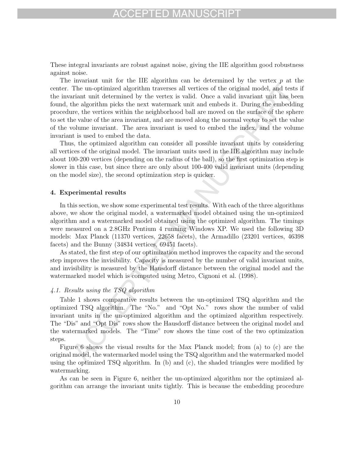These integral invariants are robust against noise, giving the IIE algorithm good robustness against noise.

The uncoplimized algorithm traverses all vertices of the original model, and test<br>The uncoplimized algorithm traverses all vertices of the original model, and test<br>The uncoplimized algorithm traversies will correct a will The invariant unit for the IIE algorithm can be determined by the vertex  $p$  at the center. The un-optimized algorithm traverses all vertices of the original model, and tests if the invariant unit determined by the vertex is valid. Once a valid invariant unit has been found, the algorithm picks the next watermark unit and embeds it. During the embedding procedure, the vertices within the neighborhood ball are moved on the surface of the sphere to set the value of the area invariant, and are moved along the normal vector to set the value of the volume invariant. The area invariant is used to embed the index, and the volume invariant is used to embed the data.

Thus, the optimized algorithm can consider all possible invariant units by considering all vertices of the original model. The invariant units used in the IIE algorithm may include about 100-200 vertices (depending on the radius of the ball), so the first optimization step is slower in this case, but since there are only about 100-400 valid invariant units (depending on the model size), the second optimization step is quicker.

#### **4. Experimental results**

In this section, we show some experimental test results. With each of the three algorithms above, we show the original model, a watermarked model obtained using the un-optimized algorithm and a watermarked model obtained using the optimized algorithm. The timings were measured on a 2.8GHz Pentium 4 running Windows XP. We used the following 3D models: Max Planck (11370 vertices, 22658 facets), the Armadillo (23201 vertices, 46398 facets) and the Bunny (34834 vertices, 69451 facets).

As stated, the first step of our optimization method improves the capacity and the second step improves the invisibility. Capacity is measured by the number of valid invariant units, and invisibility is measured by the Hausdorff distance between the original model and the watermarked model which is computed using Metro, Cignoni et al. (1998).

### 4.1. Results using the TSQ algorithm

Table 1 shows comparative results between the un-optimized TSQ algorithm and the optimized TSQ algorithm. The "No." and "Opt No." rows show the number of valid invariant units in the un-optimized algorithm and the optimized algorithm respectively. The "Dis" and "Opt Dis" rows show the Hausdorff distance between the original model and the watermarked models. The "Time" row shows the time cost of the two optimization steps.

Figure 6 shows the visual results for the Max Planck model; from (a) to (c) are the original model, the watermarked model using the TSQ algorithm and the watermarked model using the optimized TSQ algorithm. In  $(b)$  and  $(c)$ , the shaded triangles were modified by watermarking.

As can be seen in Figure 6, neither the un-optimized algorithm nor the optimized algorithm can arrange the invariant units tightly. This is because the embedding procedure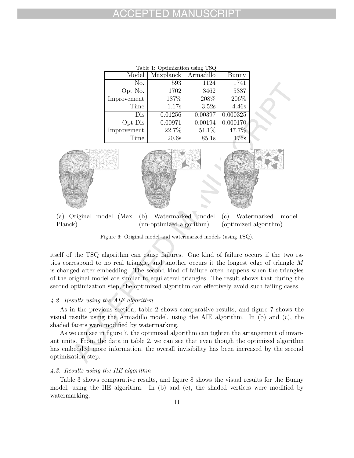| Table 1: Optimization using TSQ. |           |           |          |  |
|----------------------------------|-----------|-----------|----------|--|
| Model                            | Maxplanck | Armadillo | Bunny    |  |
| No.                              | 593       | 1124      | 1741     |  |
| Opt No.                          | 1702      | 3462      | 5337     |  |
| Improvement                      | 187%      | 208%      | 206\%    |  |
| Time                             | 1.17s     | 3.52s     | 4.46s    |  |
| Dis                              | 0.01256   | 0.00397   | 0.000325 |  |
| Opt Dis                          | 0.00971   | 0.00194   | 0.000170 |  |
| Improvement                      | 22.7%     | 51.1%     | 47.7%    |  |
| Time                             | 20.6s     | 85.1s     | 176s     |  |



(a) Original model (Max Planck) (b) Watermarked model (un-optimized algorithm) (c) Watermarked model (optimized algorithm)

Figure 6: Original model and watermarked models (using TSQ).

itself of the TSQ algorithm can cause failures. One kind of failure occurs if the two ratios correspond to no real triangle, and another occurs it the longest edge of triangle M is changed after embedding. The second kind of failure often happens when the triangles of the original model are similar to equilateral triangles. The result shows that during the second optimization step, the optimized algorithm can effectively avoid such failing cases.

### 4.2. Results using the AIE algorithm

As in the previous section, table 2 shows comparative results, and figure 7 shows the visual results using the Armadillo model, using the AIE algorithm. In (b) and (c), the shaded facets were modified by watermarking.

As we can see in figure 7, the optimized algorithm can tighten the arrangement of invariant units. From the data in table 2, we can see that even though the optimized algorithm has embedded more information, the overall invisibility has been increased by the second optimization step.

### 4.3. Results using the IIE algorithm

Table 3 shows comparative results, and figure 8 shows the visual results for the Bunny model, using the IIE algorithm. In (b) and (c), the shaded vertices were modified by watermarking.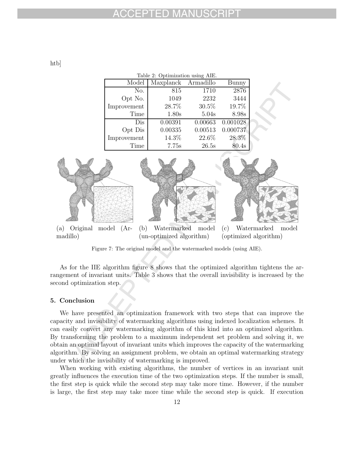htb]

| Table 2: Optimization using AIE. |                     |         |          |  |  |
|----------------------------------|---------------------|---------|----------|--|--|
| Model                            | Maxplanck Armadillo |         | Bunny    |  |  |
| No.                              | 815                 | 1710    | 2876     |  |  |
| Opt No.                          | 1049                | 2232    | 3444     |  |  |
| Improvement                      | 28.7%               | 30.5%   | 19.7%    |  |  |
| Time                             | 1.80s               | 5.04s   | 8.98s    |  |  |
| Dis                              | 0.00391             | 0.00663 | 0.001028 |  |  |
| Opt Dis                          | 0.00335             | 0.00513 | 0.000737 |  |  |
| Improvement                      | 14.3%               | 22.6%   | 28.3%    |  |  |
| Time                             | 7.75s               | 26.5s   | 80.4s    |  |  |



Figure 7: The original model and the watermarked models (using AIE).

As for the IIE algorithm figure 8 shows that the optimized algorithm tightens the arrangement of invariant units. Table 3 shows that the overall invisibility is increased by the second optimization step.

### **5. Conclusion**

We have presented an optimization framework with two steps that can improve the capacity and invisibility of watermarking algorithms using indexed localization schemes. It can easily convert any watermarking algorithm of this kind into an optimized algorithm. By transforming the problem to a maximum independent set problem and solving it, we obtain an optimal layout of invariant units which improves the capacity of the watermarking algorithm. By solving an assignment problem, we obtain an optimal watermarking strategy under which the invisibility of watermarking is improved.

When working with existing algorithms, the number of vertices in an invariant unit greatly influences the execution time of the two optimization steps. If the number is small, the first step is quick while the second step may take more time. However, if the number is large, the first step may take more time while the second step is quick. If execution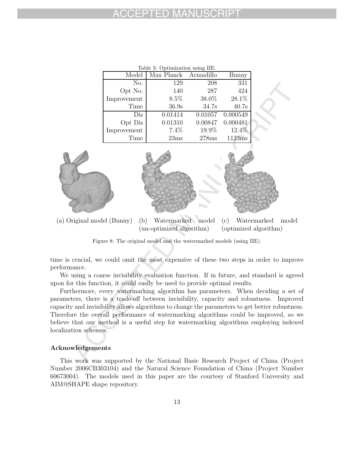| Table 3: Optimization using IIE. |                      |         |          |  |  |
|----------------------------------|----------------------|---------|----------|--|--|
| Model                            | Max Planck Armadillo |         | Bunny    |  |  |
| No.                              | 129                  | 208     | 331      |  |  |
| Opt No.                          | 140                  | 287     | 424      |  |  |
| Improvement                      | 8.5%                 | 38.0%   | 28.1%    |  |  |
| Time                             | 36.9s                | 34.7s   | 40.7s    |  |  |
| Dis                              | 0.01414              | 0.01057 | 0.000549 |  |  |
| Opt Dis                          | 0.01310              | 0.00847 | 0.000481 |  |  |
| Improvement                      | 7.4%                 | 19.9%   | 12.4%    |  |  |
| Time                             | 23ms                 | 278ms   | 1123ms   |  |  |



(a) Original model (Bunny) (b) Watermarked model (un-optimized algorithm) (c) Watermarked model (optimized algorithm)

Figure 8: The original model and the watermarked models (using IIE).

time is crucial, we could omit the most expensive of these two steps in order to improve performance.

We using a coarse invisibility evaluation function. If in future, and standard is agreed upon for this function, it could easily be used to provide optimal results.

Furthermore, every watermarking algorithm has parameters. When deciding a set of parameters, there is a trade-off between invisibility, capacity and robustness. Improved capacity and invisibility allows algorithms to change the parameters to get better robustness. Therefore the overall performance of watermarking algorithms could be improved, so we believe that our method is a useful step for watermarking algorithms employing indexed localization schemes.

#### **Acknowledgements**

This work was supported by the National Basic Research Project of China (Project Number 2006CB303104) and the Natural Science Foundation of China (Project Number 60673004). The models used in this paper are the courtesy of Stanford University and AIM@SHAPE shape repository.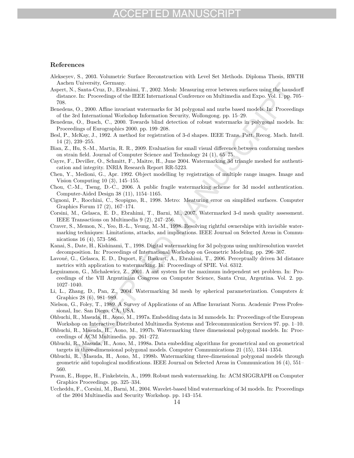## FPTED MA

#### **References**

- Alekseyev, S., 2003. Volumetric Surface Reconstruction with Level Set Methods. Diploma Thesis, RWTH Aachen University, Germany.
- If Our<br>versiony, Germany.<br>
The Manuschiptic System in T., 2002. Mesh: Measuring error between surfaces using the hunder.<br>
F., Santac-Cruz, D., Elvardini, T., 2002. Mesh: Measuring error between surfaces using the hunder<br> Aspert, N., Santa-Cruz, D., Ebrahimi, T., 2002. Mesh: Measuring error between surfaces using the hausdorff distance. In: Proceedings of the IEEE International Conference on Multimedia and Expo. Vol. 1. pp. 705– 708.
- Benedens, O., 2000. Affine invariant watermarks for 3d polygonal and nurbs based models. In: Proceedings of the 3rd International Workshop Information Security, Wollongong. pp. 15–29.
- Benedens, O., Busch, C., 2000. Towards blind detection of robust watermarks in polygonal models. In: Proceedings of Eurographics 2000. pp. 199–208.
- Besl, P., McKay, J., 1992. A method for registration of 3-d shapes. IEEE Trans. Patt. Recog. Mach. Intell. 14 (2), 239–255.
- Bian, Z., Hu, S.-M., Martin, R. R., 2009. Evaluation for small visual difference between conforming meshes on strain field. Journal of Computer Science and Technology 24 (1), 65–75.
- Cayre, F., Deviller, O., Schmitt, F., Maitre, H., June 2004. Watermarking 3d triangle meshed for authentication and integrity. INRIA Research Report RR-5223.
- Chen, Y., Medioni, G., Apr. 1992. Object modelling by registration of multiple range images. Image and Vision Computing 10 (3), 145–155.
- Chou, C.-M., Tseng, D.-C., 2006. A public fragile watermarking scheme for 3d model authentication. Computer-Aided Design 38 (11), 1154–1165.
- Cignoni, P., Rocchini, C., Scopigno, R., 1998. Metro: Meaturing error on simplified surfaces. Computer Graphics Forum 17 (2), 167–174.
- Corsini, M., Gelasca, E. D., Ebrahimi, T., Barni, M., 2007. Watermarked 3-d mesh quality assessment. IEEE Transactions on Multimedia 9 (2), 247–256.
- Craver, S., Memon, N., Yeo, B.-L., Yeung, M.-M., 1998. Resolving rightful ownerships with invisible watermarking techniques: Limitations, attacks, and implications. IEEE Journal on Selected Areas in Communications 16 (4), 573–586.
- Kanai, S., Date, H., Kishinami, T., 1998. Digital watermarking for 3d polygons using multiresolution wavelet decomposition. In: Proceedings of International Workshop on Geometric Modeling. pp. 296–307.
- Lavoué, G., Gelasca, E. D., Duport, F., Baskurt, A., Ebrahimi, T., 2006. Perceptually driven 3d distance metrics with application to watermarking. In: Proceedings of SPIE. Vol. 6312.
- Leguizamon, G., Michalewicz, Z., 2001. A ant system for the maximum independent set problem. In: Proceedings of the VII Argentinian Congress on Computer Science, Santa Cruz, Argentina. Vol. 2. pp. 1027–1040.
- Li, L., Zhang, D., Pan, Z., 2004. Watermarking 3d mesh by spherical parameterization. Computers & Graphics 28 (6), 981–989.
- Nielson, G., Foley, T., 1989. A Survey of Applications of an Affine Invariant Norm. Academic Press Professional, Inc. San Diego, CA, USA.
- Ohbuchi, R., Masuda, H., Aono, M., 1997a. Embedding data in 3d mmodels. In: Proceedings of the European Workshop on Interactive Distributed Multimedia Systems and Telecommunication Services 97. pp. 1–10.
- Ohbuchi, R., Masuda, H., Aono, M., 1997b. Watermarking three dimensional polygonal models. In: Procceedings of ACM Multimedia. pp. 261–272.
- Ohbuchi, R., Masuda, H., Aono, M., 1998a. Data embedding algorithms for geometrical and on geometrical targets in three-dimensional polygonal models. Computer Communications 21 (15), 1344–1354.
- Ohbuchi, R., Masuda, H., Aono, M., 1998b. Watermarking three-dimensional polygonal models through geometric and topological modifications. IEEE Journal on Selected Areas in Communication 16 (4), 551– 560.
- Praun, E., Hoppe, H., Finkelstein, A., 1999. Robust mesh watermarking. In: ACM SIGGRAPH on Computer Graphics Proceedings. pp. 325–334.
- Uccheddu, F., Corsini, M., Barni, M., 2004. Wavelet-based blind watermarking of 3d models. In: Proceedings of the 2004 Multimedia and Security Workshop. pp. 143–154.